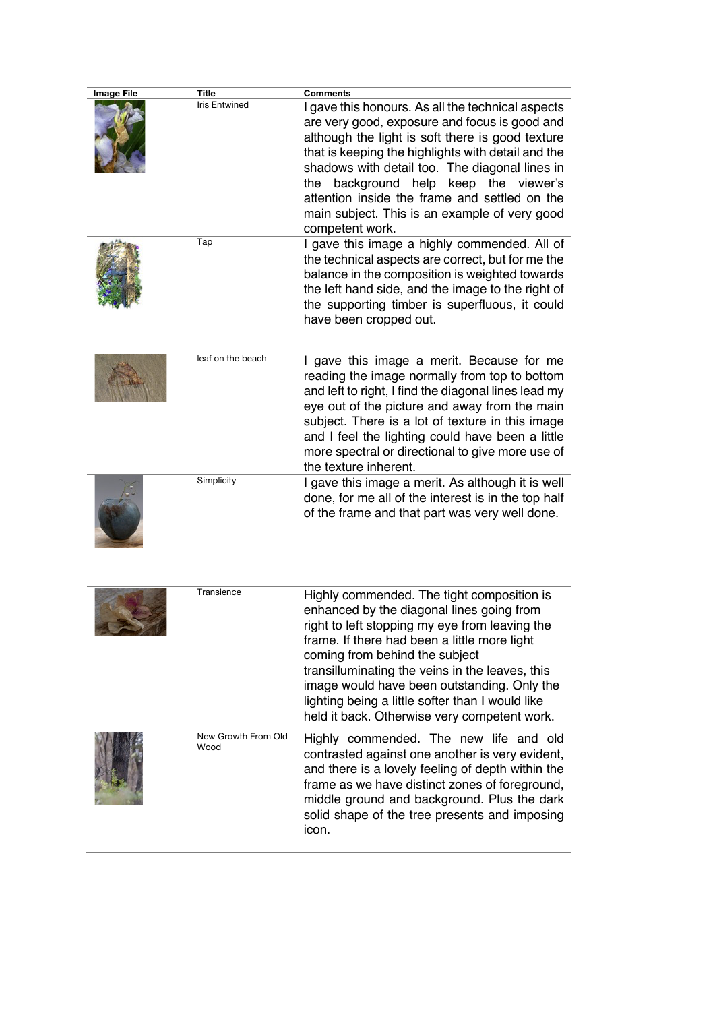| Image File | <b>Title</b>                | <b>Comments</b>                                                                                                                                                                                                                                                                                                                                                                                                                   |
|------------|-----------------------------|-----------------------------------------------------------------------------------------------------------------------------------------------------------------------------------------------------------------------------------------------------------------------------------------------------------------------------------------------------------------------------------------------------------------------------------|
|            | <b>Iris Entwined</b>        | I gave this honours. As all the technical aspects<br>are very good, exposure and focus is good and<br>although the light is soft there is good texture<br>that is keeping the highlights with detail and the<br>shadows with detail too. The diagonal lines in<br>background help keep the viewer's<br>the<br>attention inside the frame and settled on the<br>main subject. This is an example of very good<br>competent work.   |
|            | Tap                         | I gave this image a highly commended. All of<br>the technical aspects are correct, but for me the<br>balance in the composition is weighted towards<br>the left hand side, and the image to the right of<br>the supporting timber is superfluous, it could<br>have been cropped out.                                                                                                                                              |
|            | leaf on the beach           | I gave this image a merit. Because for me<br>reading the image normally from top to bottom<br>and left to right, I find the diagonal lines lead my<br>eye out of the picture and away from the main<br>subject. There is a lot of texture in this image<br>and I feel the lighting could have been a little<br>more spectral or directional to give more use of<br>the texture inherent.                                          |
|            | Simplicity                  | I gave this image a merit. As although it is well<br>done, for me all of the interest is in the top half<br>of the frame and that part was very well done.                                                                                                                                                                                                                                                                        |
|            | Transience                  | Highly commended. The tight composition is<br>enhanced by the diagonal lines going from<br>right to left stopping my eye from leaving the<br>frame. If there had been a little more light<br>coming from behind the subject<br>transilluminating the veins in the leaves, this<br>image would have been outstanding. Only the<br>lighting being a little softer than I would like<br>held it back. Otherwise very competent work. |
|            | New Growth From Old<br>Wood | Highly commended. The new life and old<br>contrasted against one another is very evident,<br>and there is a lovely feeling of depth within the<br>frame as we have distinct zones of foreground,<br>middle ground and background. Plus the dark<br>solid shape of the tree presents and imposing<br>icon.                                                                                                                         |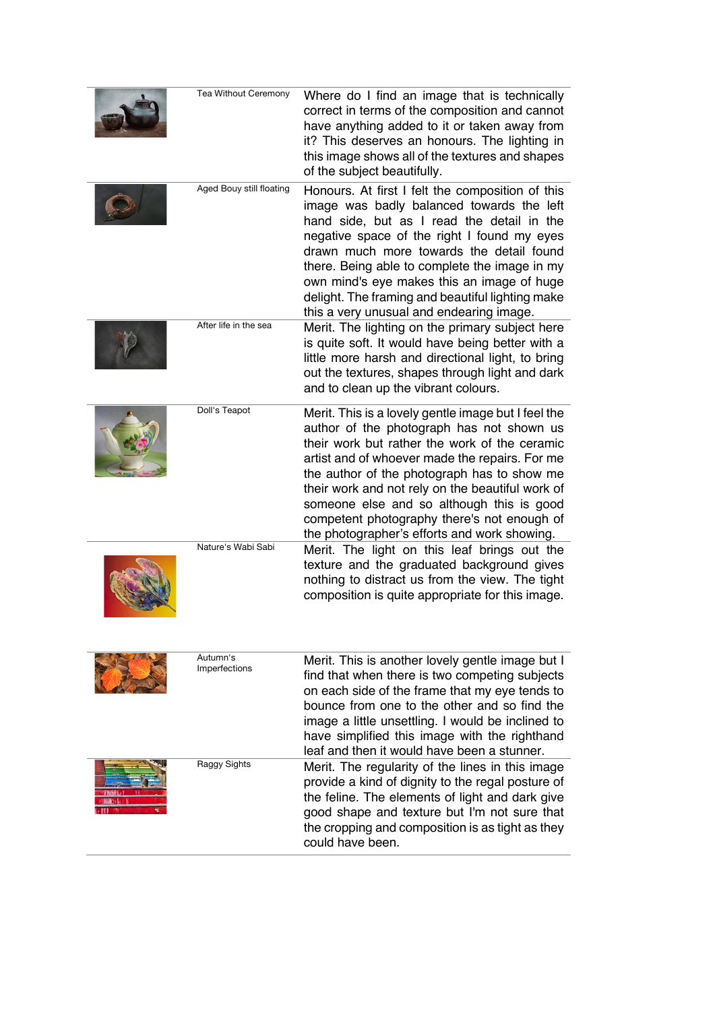| <b>Tea Without Ceremony</b> | Where do I find an image that is technically<br>correct in terms of the composition and cannot<br>have anything added to it or taken away from<br>it? This deserves an honours. The lighting in<br>this image shows all of the textures and shapes<br>of the subject beautifully.                                                                                                                                                                  |
|-----------------------------|----------------------------------------------------------------------------------------------------------------------------------------------------------------------------------------------------------------------------------------------------------------------------------------------------------------------------------------------------------------------------------------------------------------------------------------------------|
| Aged Bouy still floating    | Honours. At first I felt the composition of this<br>image was badly balanced towards the left<br>hand side, but as I read the detail in the<br>negative space of the right I found my eyes<br>drawn much more towards the detail found<br>there. Being able to complete the image in my<br>own mind's eye makes this an image of huge<br>delight. The framing and beautiful lighting make<br>this a very unusual and endearing image.              |
| After life in the sea       | Merit. The lighting on the primary subject here<br>is quite soft. It would have being better with a<br>little more harsh and directional light, to bring<br>out the textures, shapes through light and dark<br>and to clean up the vibrant colours.                                                                                                                                                                                                |
| Doll's Teapot               | Merit. This is a lovely gentle image but I feel the<br>author of the photograph has not shown us<br>their work but rather the work of the ceramic<br>artist and of whoever made the repairs. For me<br>the author of the photograph has to show me<br>their work and not rely on the beautiful work of<br>someone else and so although this is good<br>competent photography there's not enough of<br>the photographer's efforts and work showing. |
| Nature's Wabi Sabi          | Merit. The light on this leaf brings out the<br>texture and the graduated background gives<br>nothing to distract us from the view. The tight<br>composition is quite appropriate for this image.                                                                                                                                                                                                                                                  |
| Autumn's<br>Imperfections   | Merit. This is another lovely gentle image but I<br>find that when there is two competing subjects<br>on each side of the frame that my eye tends to<br>bounce from one to the other and so find the<br>image a little unsettling. I would be inclined to<br>have simplified this image with the righthand<br>leaf and then it would have been a stunner.                                                                                          |
| Raggy Sights                | Merit. The regularity of the lines in this image<br>provide a kind of dignity to the regal posture of<br>the feline. The elements of light and dark give<br>good shape and texture but I'm not sure that<br>the cropping and composition is as tight as they<br>could have been.                                                                                                                                                                   |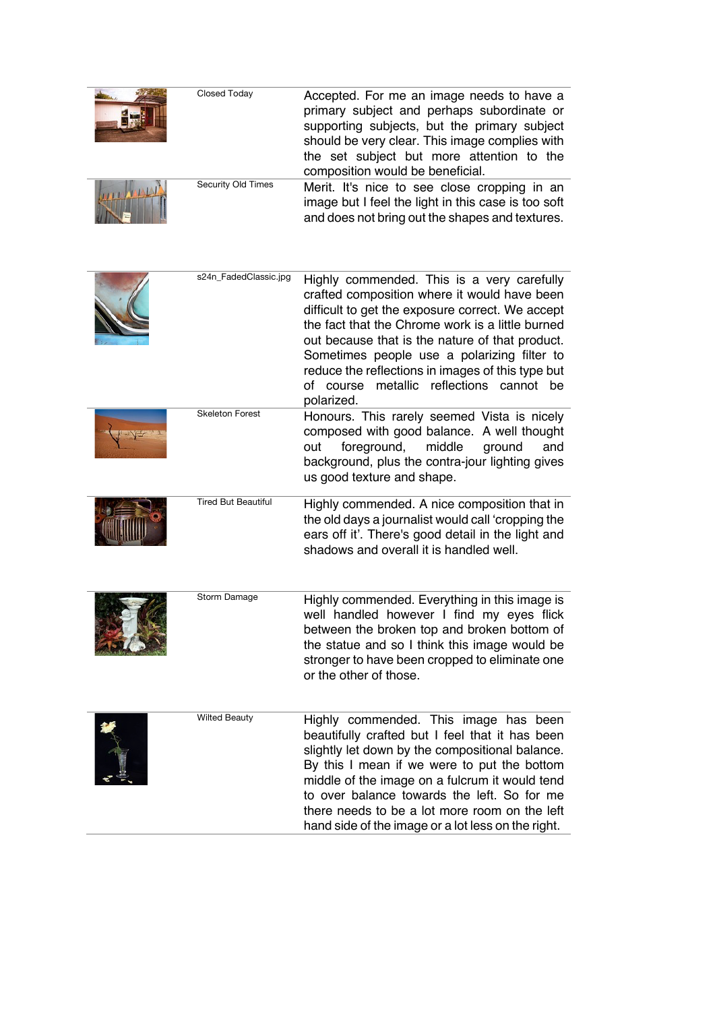| Closed Today       | Accepted. For me an image needs to have a<br>primary subject and perhaps subordinate or<br>supporting subjects, but the primary subject<br>should be very clear. This image complies with<br>the set subject but more attention to the<br>composition would be beneficial. |
|--------------------|----------------------------------------------------------------------------------------------------------------------------------------------------------------------------------------------------------------------------------------------------------------------------|
| Security Old Times | Merit. It's nice to see close cropping in an<br>image but I feel the light in this case is too soft<br>and does not bring out the shapes and textures.                                                                                                                     |

| s24n_FadedClassic.jpg      | Highly commended. This is a very carefully<br>crafted composition where it would have been<br>difficult to get the exposure correct. We accept<br>the fact that the Chrome work is a little burned<br>out because that is the nature of that product.<br>Sometimes people use a polarizing filter to<br>reduce the reflections in images of this type but<br>metallic reflections cannot be<br>of course<br>polarized. |
|----------------------------|------------------------------------------------------------------------------------------------------------------------------------------------------------------------------------------------------------------------------------------------------------------------------------------------------------------------------------------------------------------------------------------------------------------------|
| <b>Skeleton Forest</b>     | Honours. This rarely seemed Vista is nicely<br>composed with good balance. A well thought<br>out<br>foreground,<br>middle<br>ground<br>and<br>background, plus the contra-jour lighting gives<br>us good texture and shape.                                                                                                                                                                                            |
| <b>Tired But Beautiful</b> | Highly commended. A nice composition that in<br>the old days a journalist would call 'cropping the<br>ears off it'. There's good detail in the light and<br>shadows and overall it is handled well.                                                                                                                                                                                                                    |
| Storm Damage               | Highly commended. Everything in this image is<br>well handled however I find my eyes flick<br>between the broken top and broken bottom of<br>the statue and so I think this image would be<br>stronger to have been cropped to eliminate one<br>or the other of those.                                                                                                                                                 |
| <b>Wilted Beauty</b>       | Highly commended. This image has been<br>beautifully crafted but I feel that it has been<br>slightly let down by the compositional balance.<br>By this I mean if we were to put the bottom<br>middle of the image on a fulcrum it would tend<br>to over balance towards the left. So for me<br>there needs to be a lot more room on the left<br>hand side of the image or a lot less on the right.                     |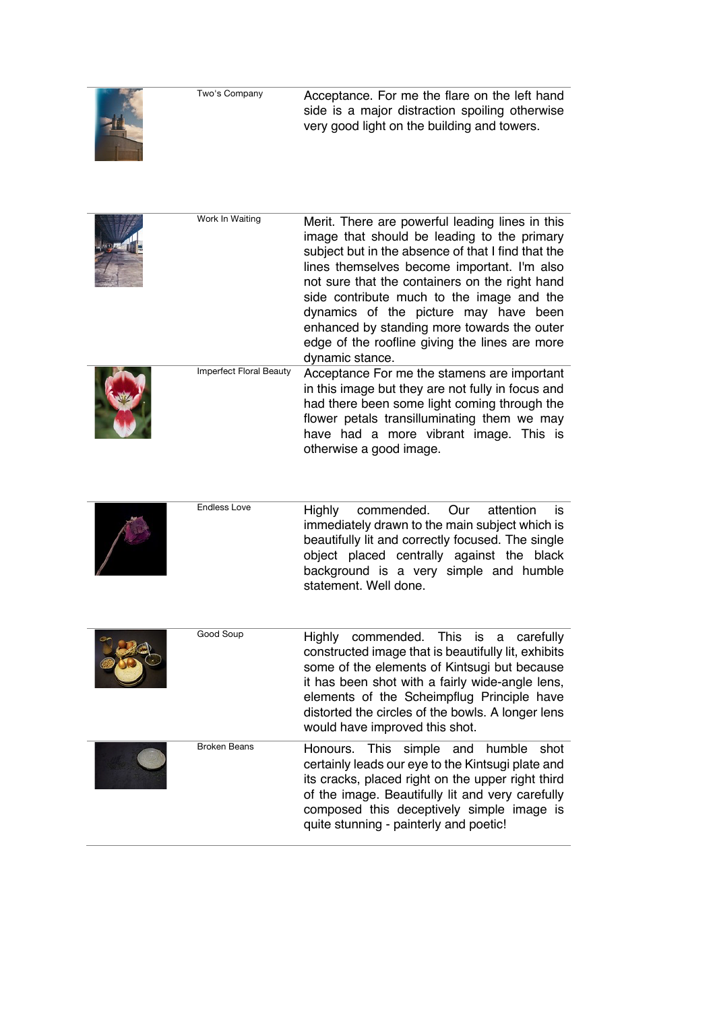|   | Two's Company | Acceptance. For me the flare on the left hand  |
|---|---------------|------------------------------------------------|
|   |               | side is a major distraction spoiling otherwise |
| 山 |               | very good light on the building and towers.    |



| Work In Waiting                | Merit. There are powerful leading lines in this<br>image that should be leading to the primary<br>subject but in the absence of that I find that the<br>lines themselves become important. I'm also<br>not sure that the containers on the right hand<br>side contribute much to the image and the<br>dynamics of the picture may have been<br>enhanced by standing more towards the outer<br>edge of the roofline giving the lines are more<br>dynamic stance. |
|--------------------------------|-----------------------------------------------------------------------------------------------------------------------------------------------------------------------------------------------------------------------------------------------------------------------------------------------------------------------------------------------------------------------------------------------------------------------------------------------------------------|
| <b>Imperfect Floral Beauty</b> | Acceptance For me the stamens are important<br>in this image but they are not fully in focus and<br>had there been some light coming through the<br>flower petals transilluminating them we may<br>have had a more vibrant image. This is<br>otherwise a good image.                                                                                                                                                                                            |

|  | Endless Love | Highly commended. Our attention is                                                                           |
|--|--------------|--------------------------------------------------------------------------------------------------------------|
|  |              | immediately drawn to the main subject which is<br>beautifully lit and correctly focused. The single          |
|  |              | object placed centrally against the black<br>background is a very simple and humble<br>statement. Well done. |

| Good Soup           | commended. This is a carefully<br>Hiahlv<br>constructed image that is beautifully lit, exhibits<br>some of the elements of Kintsugi but because<br>it has been shot with a fairly wide-angle lens,<br>elements of the Scheimpflug Principle have<br>distorted the circles of the bowls. A longer lens                          |
|---------------------|--------------------------------------------------------------------------------------------------------------------------------------------------------------------------------------------------------------------------------------------------------------------------------------------------------------------------------|
| <b>Broken Beans</b> | would have improved this shot.<br>Honours. This simple and humble<br>shot<br>certainly leads our eye to the Kintsugi plate and<br>its cracks, placed right on the upper right third<br>of the image. Beautifully lit and very carefully<br>composed this deceptively simple image is<br>quite stunning - painterly and poetic! |